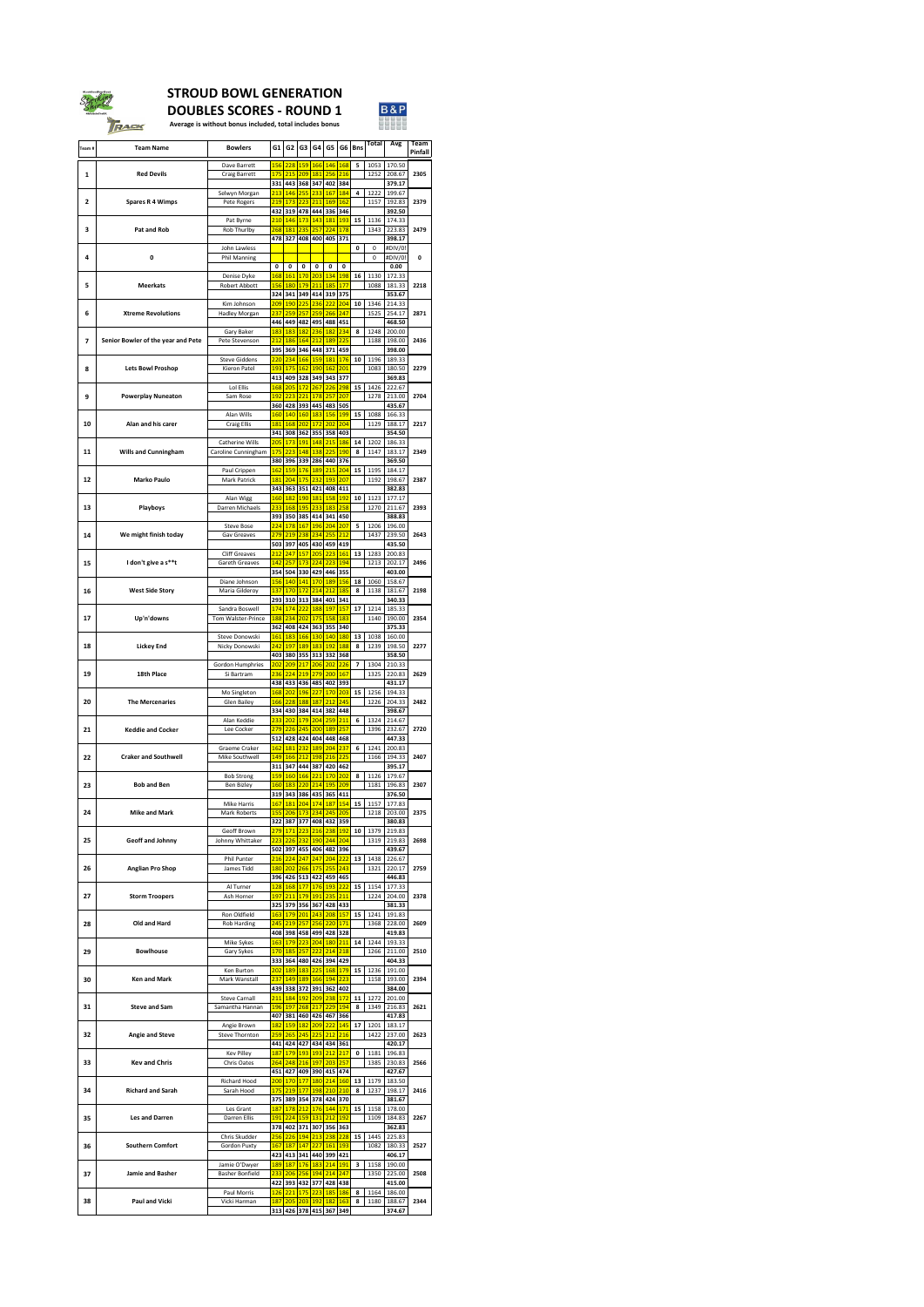| Team#          | <b>Team Name</b>                   | <b>Bowlers</b>                                | G1                  | G <sub>2</sub>                       | G3                                                     | G4                    | G <sub>5</sub>                                                                               |                                 | $G6$   Bns              | <b>Total</b>                  | <b>Avg</b>                 | <b>Team</b><br><b>Pinfall</b> |
|----------------|------------------------------------|-----------------------------------------------|---------------------|--------------------------------------|--------------------------------------------------------|-----------------------|----------------------------------------------------------------------------------------------|---------------------------------|-------------------------|-------------------------------|----------------------------|-------------------------------|
| 1              | <b>Red Devils</b>                  | Dave Barrett<br><b>Craig Barrett</b>          | <b>175</b>          | <b>156 228</b><br>215                | 159 <br> 209                                           | <b>181</b>            | 166 146<br> 256                                                                              | <b>168</b><br>216               | $5\phantom{1}$          | 1053<br>1252                  | 170.50<br>208.67           | 2305                          |
|                |                                    | Selwyn Morgan                                 | 331<br>213          | 443<br>146                           | 368<br> 255                                            | 347                   | 402<br>233 167                                                                               | 384<br>184                      | $\overline{\mathbf{4}}$ | 1222                          | 379.17<br>199.67           |                               |
| $\overline{2}$ | <b>Spares R 4 Wimps</b>            | Pete Rogers                                   |                     | 219 173<br>432 319<br>210 146        | 223 <br> 173                                           | 211                   | 169 <br>478 444 336 346<br>143 181                                                           | <b>162</b><br><b>193</b>        | 15                      | 1157<br>1136                  | 192.83<br>392.50<br>174.33 | 2379                          |
| 3              | <b>Pat and Rob</b>                 | Pat Byrne<br>Rob Thurlby                      |                     | 268 181<br>478 327                   | 235                                                    | 257                   | 224 <br>408 400 405 371                                                                      | 178                             |                         | 1343                          | 223.83<br>398.17           | 2479                          |
| 4              | $\mathbf 0$                        | John Lawless<br><b>Phil Manning</b>           |                     |                                      |                                                        |                       |                                                                                              |                                 | $\mathbf 0$             | $\mathbf 0$<br>$\overline{0}$ | #DIV/0!<br>#DIV/0!         | $\mathbf 0$                   |
|                |                                    | Denise Dyke                                   | $\mathbf{0}$<br>168 | $\mathbf 0$<br><b>161</b>            | $\mathbf 0$<br>170                                     | $\mathbf{0}$          | $\mathbf 0$<br>203 134                                                                       | $\mathbf 0$<br><b>198</b>       | 16                      | 1130                          | 0.00<br>172.33             |                               |
| 5              | <b>Meerkats</b>                    | <b>Robert Abbott</b><br>Kim Johnson           |                     | <b>156 180</b><br>324 341<br>209 190 | 179 <br>$\boxed{225}$                                  | 211                   | <b>185</b><br>349 414 319<br>236 222                                                         | <b>177</b><br>375<br> 204       | 10                      | 1088<br>1346                  | 181.33<br>353.67<br>214.33 | 2218                          |
| 6              | <b>Xtreme Revolutions</b>          | <b>Hadley Morgan</b>                          | 237                 | 259                                  | 257                                                    |                       | 259 266 <br>446 449 482 495 488 451                                                          | 247                             |                         | 1525                          | 254.17<br>468.50           | 2871                          |
| 7              | Senior Bowler of the year and Pete | <b>Gary Baker</b><br>Pete Stevenson           | <b>183</b><br>212   | 183                                  | 186 164                                                |                       | <mark>  182   236   182  </mark><br>212 189                                                  | 234<br>225                      | 8                       | 1248<br>1188                  | 200.00<br>198.00           | 2436                          |
| 8              | <b>Lets Bowl Proshop</b>           | <b>Steve Giddens</b><br><b>Kieron Patel</b>   |                     | 395 369<br>220 234<br><b>193 175</b> | 166 <br> 162                                           |                       | 346   448   371   459<br>159 181<br>190 162 201                                              | <b>176</b>                      | 10                      | 1196<br>1083                  | 398.00<br>189.33<br>180.50 | 2279                          |
|                |                                    | Lol Ellis                                     |                     | 413 409<br>168 205                   | 172                                                    | 267                   | 328 349 343 377<br> 226                                                                      | 298                             | 15                      | 1426                          | 369.83<br>222.67           |                               |
| 9              | <b>Powerplay Nuneaton</b>          | Sam Rose                                      |                     | $192$ 223                            | 221                                                    |                       | <b>178 257</b><br>360 428 393 445 483 505                                                    | 207                             |                         | 1278                          | 213.00<br>435.67           | 2704                          |
| 10             | Alan and his carer                 | Alan Wills<br><b>Craig Ellis</b>              |                     | 160 140<br>181 168                   | 160 <br> 202                                           |                       | 183 156<br><mark>172 202 204</mark><br>341 308 362 355 358 403                               | <b>199</b>                      | 15                      | 1088<br>1129                  | 166.33<br>188.17<br>354.50 | 2217                          |
| 11             | <b>Wills and Cunningham</b>        | Catherine Wills<br>Caroline Cunningham        | 175                 | $205 \mid 173$<br>223                | 191 <br> 148                                           |                       | 148 215<br>138 225                                                                           | <b>186</b><br> 190              | 14<br>8                 | 1202<br>1147                  | 186.33<br>183.17           | 2349                          |
|                |                                    | Paul Crippen                                  |                     | 162 159                              | 176                                                    |                       | 380 396 339 286 440 376<br>189 215                                                           | 204                             | 15                      | 1195                          | 369.50<br>184.17           |                               |
| 12             | <b>Marko Paulo</b>                 | <b>Mark Patrick</b><br>Alan Wigg              | <b>181</b>          |                                      | 204 175                                                |                       | 232 193 207<br>343 363 351 421 408 411<br><mark>  160   182   190   181   158   192  </mark> |                                 | <b>10</b>               | 1192<br>1123                  | 198.67<br>382.83<br>177.17 | 2387                          |
| 13             | <b>Playboys</b>                    | Darren Michaels                               | 233                 |                                      | <b>168 195</b>                                         |                       | 233 183<br>393   350   385   414   341   450                                                 | 258                             |                         | 1270                          | 211.67<br>388.83           | 2393                          |
| 14             | We might finish today              | <b>Steve Bose</b><br><b>Gav Greaves</b>       |                     |                                      | 224 178 167<br>279 219 238                             |                       | 196 204<br>234 255                                                                           | 207<br>212                      | 5                       | 1206<br>1437                  | 196.00<br>239.50           | 2643                          |
| 15             | I don't give a s**t                | <b>Cliff Greaves</b><br><b>Gareth Greaves</b> |                     | 503 397<br>$212$ 247<br>$142$ 257    | 157                                                    |                       | 405   430   459   419  <br>205 223<br>224 223                                                | <b>161</b><br><b>194</b>        | 13                      | 1283<br>1213                  | 435.50<br>200.83<br>202.17 | 2496                          |
|                |                                    | Diane Johnson                                 |                     | 354 504                              | 156 140 141                                            |                       | 330   429   446   355<br>170 189                                                             | <b>156</b>                      | 18                      | 1060                          | 403.00<br>158.67           |                               |
| 16             | <b>West Side Story</b>             | Maria Gilderoy                                | 137                 |                                      | <b>170 172</b>                                         |                       | 214 212 <br>293 310 313 384 401 341                                                          | <b>185</b>                      | 8                       | 1138                          | 181.67<br>340.33           | 2198                          |
| 17             | Up'n'downs                         | Sandra Boswell<br><b>Tom Walster-Prince</b>   |                     | 174 174<br>362 408                   | 222 <br>188 234 202                                    |                       | 188 197<br><u>175 158 183</u><br>  424   363   355   340                                     | <b>157</b>                      | 17                      | 1214<br>1140                  | 185.33<br>190.00<br>375.33 | 2354                          |
| 18             | <b>Lickey End</b>                  | Steve Donowski<br>Nicky Donowski              | 161                 | 183<br>242 197                       | 166 <br><b>189</b>                                     |                       | 130 140 <br>183 192                                                                          | <b>180</b><br>188               | 13<br>8                 | 1038<br>1239                  | 160.00<br>198.50           | 2277                          |
|                |                                    | <b>Gordon Humphries</b>                       |                     | $202$ 209                            | 217                                                    |                       | 403 380 355 313 332 368<br>206 202                                                           | 226                             | $\overline{\mathbf{z}}$ | 1304                          | 358.50<br>210.33           |                               |
| 19             | <b>18th Place</b>                  | Si Bartram<br>Mo Singleton                    |                     |                                      | 236 224 219<br>168 202 196                             | 227                   | 279 200 167<br>438 433 436 485 402 393<br> 170                                               | 203                             | 15                      | 1325<br>1256                  | 220.83<br>431.17<br>194.33 | 2629                          |
| 20             | <b>The Mercenaries</b>             | <b>Glen Bailey</b>                            |                     | 334 430                              | 166 228 188                                            | <b>187</b>            | 212<br>  384   414   382   448                                                               | 245                             |                         | 1226                          | 204.33<br>398.67           | 2482                          |
| 21             | <b>Keddie and Cocker</b>           | Alan Keddie<br>Lee Cocker                     |                     | 233 202                              | 179 <br>279 226 245                                    |                       | 204 259<br>200 189                                                                           | 211<br>257                      | 6                       | 1324<br>1396                  | 214.67<br>232.67           | 2720                          |
| 22             | <b>Craker and Southwell</b>        | <b>Graeme Craker</b><br>Mike Southwell        | 162<br>149          | 512 428<br><b>181</b><br>166         | 232 <br> 212                                           | <b>189</b>            | 424 404 448 468<br> 204 <br>198 216                                                          | 237<br>225                      | 6                       | 1241<br>1166                  | 447.33<br>200.83<br>194.33 | 2407                          |
|                |                                    | <b>Bob Strong</b>                             |                     | 311 347<br><b>159 160</b>            | 444<br><b>166</b>                                      | 387<br>221            | 420 462<br> 170                                                                              | 202                             | 8                       | 1126                          | 395.17<br>179.67           |                               |
| 23             | <b>Bob and Ben</b>                 | <b>Ben Bizley</b>                             |                     | 160 183                              | 220                                                    |                       | 214 195 <br>319 343 386 435 365 411                                                          | 209                             |                         | 1181                          | 196.83<br>376.50           | 2307                          |
| 24             | <b>Mike and Mark</b>               | <b>Mike Harris</b><br><b>Mark Roberts</b>     | 167<br> 155         | <b>181</b><br>322 387                | 204 <br> 206 173                                       |                       | 174 187<br>234 245<br>  377   408   432   359                                                | 154<br>205                      | 15                      | 1157<br>1218                  | 177.83<br>203.00<br>380.83 | 2375                          |
| 25             | <b>Geoff and Johnny</b>            | Geoff Brown<br>Johnny Whittaker               | 223                 | 279 171<br>226                       | 223 <br> 232                                           |                       | 216 238<br>190 244                                                                           | <b>192</b><br>204               | 10                      | 1379<br>1319                  | 219.83<br>219.83           | 2698                          |
|                |                                    | <b>Phil Punter</b>                            |                     | 502 397                              |                                                        | 216 224 247 247       | 455 406 482 396<br> 204                                                                      | 222                             | 13                      | 1438                          | 439.67<br>226.67           |                               |
| 26             | <b>Anglian Pro Shop</b>            | James Tidd<br>Al Turner                       | 128                 | <b>180 202</b><br>168                | 266 <br>177                                            |                       | <b>175 255</b><br>396 426 513 422 459 465<br>176 193                                         | 243<br>222                      | 15                      | 1321<br>1154                  | 220.17<br>446.83<br>177.33 | 2759                          |
| 27             | <b>Storm Troopers</b>              | Ash Horner                                    | 197                 | 211                                  | 179                                                    | <b>191</b>            | 235<br>325 379 356 367 428 433                                                               | 211                             |                         | 1224                          | 204.00<br>381.33           | 2378                          |
| 28             | Old and Hard                       | Ron Oldfield<br><b>Rob Harding</b>            | 245                 | 163 179<br> 219                      | 201 <br> 257                                           |                       | 243 208 <br>256 220                                                                          | <b>157</b><br><b>171</b>        | 15                      | 1241<br>1368                  | 191.83<br>228.00           | 2609                          |
| 29             | <b>Bowlhouse</b>                   | Mike Sykes<br><b>Gary Sykes</b>               |                     | 408 398<br>163 179<br>170 185        | 223 <br> 257                                           |                       | 458   499   428   328  <br>204 180 <br>222 214 218                                           | 211                             | 14                      | 1244<br>1266                  | 419.83<br>193.33<br>211.00 | 2510                          |
|                |                                    | Ken Burton                                    |                     | 202 189                              | 183                                                    |                       | 333 364 480 426 394 429<br>225 168                                                           | <b>179</b>                      | 15                      | 1236                          | 404.33<br>191.00           |                               |
| 30             | <b>Ken and Mark</b>                | Mark Wanstall                                 |                     | 237 149                              | 189                                                    |                       | <u>166 194 223</u><br>439 338 372 391 362 402                                                |                                 |                         | 1158                          | 193.00<br>384.00           | 2394                          |
| 31             | <b>Steve and Sam</b>               | <b>Steve Carnall</b><br>Samantha Hannan       |                     | 211 184 <br>196 197<br>407 381       | 192 <br> 268                                           | 217                   | 209 238 <br>229<br>460 426 467                                                               | <b>172</b><br><b>194</b><br>366 | 11<br>8                 | 1272<br>1349                  | 201.00<br>216.83<br>417.83 | 2621                          |
| 32             | <b>Angie and Steve</b>             | Angie Brown<br><b>Steve Thornton</b>          |                     | 182 159<br>259 265                   | 182 <br> 245                                           |                       | $209$ 222<br>225 212 216                                                                     | 145                             | 17                      | 1201<br>1422                  | 183.17<br>237.00           | 2623                          |
| 33             | <b>Key and Chris</b>               | <b>Kev Pilley</b><br><b>Chris Oates</b>       | 187                 | <b>179</b>                           | 193 <br>264 248 216                                    | <b>197</b>            | 441 424 427 434 434 361<br><mark>193 212</mark><br>203                                       | 217<br>257                      | $\mathbf 0$             | 1181<br>1385                  | 420.17<br>196.83<br>230.83 | 2566                          |
|                |                                    | <b>Richard Hood</b>                           |                     | 451 427<br>200 170                   | 177                                                    |                       | 409 390 415 474<br>180 214                                                                   | <b>160</b>                      | 13                      | 1179                          | 427.67<br>183.50           |                               |
| 34             | <b>Richard and Sarah</b>           | Sarah Hood                                    |                     | <u>175 219</u>                       | 177                                                    |                       | 198 210 210<br>375 389 354 378 424 370                                                       |                                 | 8                       | 1237                          | 198.17<br>381.67           | 2416                          |
| 35             | <b>Les and Darren</b>              | Les Grant<br><b>Darren Ellis</b>              | <b>187</b>          | 378 402                              | <u>  178   212  </u><br><mark>191   224   159  </mark> | <b>131</b><br>371 307 | 176 144 <br> 212 <br> 356 363                                                                | 171<br><b>192</b>               | 15                      | 1158<br>1109                  | 178.00<br>184.83<br>362.83 | 2267                          |
| 36             | <b>Southern Comfort</b>            | Chris Skudder<br><b>Gordon Puxty</b>          | 167                 | 256 226<br><b>187</b>                | 194 <br> 147                                           | 227                   | 213 238<br> 161                                                                              | 228<br><b>193</b>               | 15                      | 1445<br>1082                  | 225.83<br>180.33           | 2527                          |
|                |                                    | Jamie O'Dwyer                                 |                     | 423 413<br>189 187                   | 176                                                    |                       | 341 440 399 421<br><b>183 214</b>                                                            | <b>191</b>                      | $\mathbf{3}$            | 1158                          | 406.17<br>190.00           |                               |
| 37             | <b>Jamie and Basher</b>            | <b>Basher Bonfield</b><br><b>Paul Morris</b>  | 233                 | 206 <br>422 393<br><b>126 221</b>    | 256 <br>175                                            | 432 377               | 194 214<br> 428   438  <br>223 185                                                           | 247<br><b>186</b>               | 8                       | 1350<br>1164                  | 225.00<br>415.00<br>186.00 | 2508                          |
| 38             | <b>Paul and Vicki</b>              | Vicki Harman                                  | 187                 | 205                                  | 203                                                    |                       | 192 182<br>313 426 378 415 367 349                                                           | 163                             | 8                       | 1180                          | 188.67<br>374.67           | 2344                          |



# **STROUD BOWL GENERATION**

**DOUBLES SCORES - ROUND 1**



**Average is without bonus included, total includes bonus**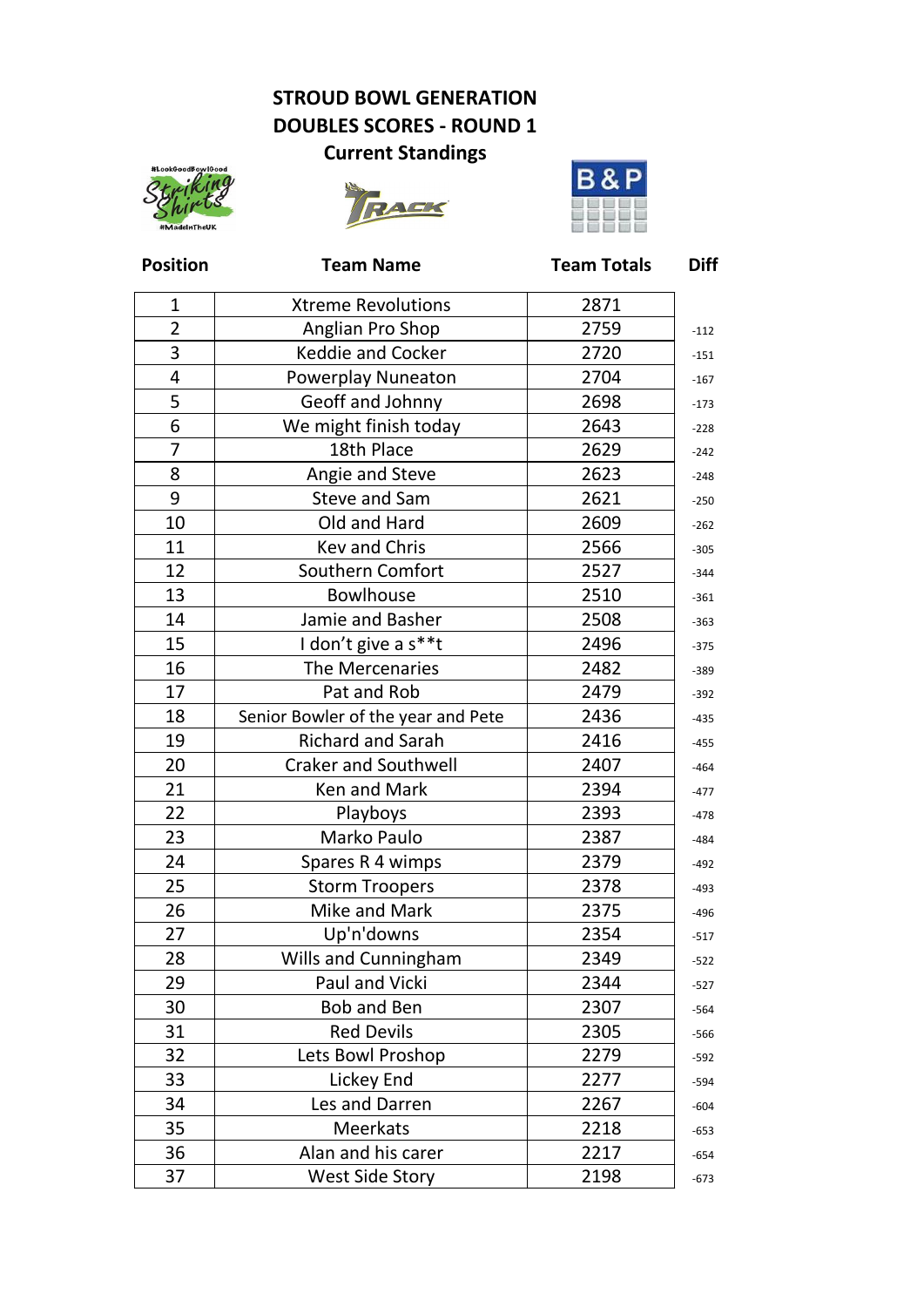**Position Team Name Team Totals Diff**

| $\mathbf{1}$   | <b>Xtreme Revolutions</b>          | 2871 |        |
|----------------|------------------------------------|------|--------|
| $\overline{2}$ | Anglian Pro Shop                   | 2759 | $-112$ |
| 3              | <b>Keddie and Cocker</b>           | 2720 |        |
| $\overline{4}$ | <b>Powerplay Nuneaton</b>          | 2704 |        |
| 5              | Geoff and Johnny                   | 2698 |        |
| 6              | We might finish today              | 2643 |        |
| 7              | 18th Place                         | 2629 |        |
| 8              | Angie and Steve                    | 2623 |        |
| 9              | Steve and Sam                      | 2621 |        |
| 10             | Old and Hard                       | 2609 |        |
| 11             | <b>Kev and Chris</b>               | 2566 |        |
| 12             | Southern Comfort                   | 2527 |        |
| 13             | <b>Bowlhouse</b>                   | 2510 |        |
| 14             | Jamie and Basher                   | 2508 |        |
| 15             | I don't give a s**t                | 2496 |        |
| 16             | The Mercenaries                    | 2482 |        |
| 17             | Pat and Rob                        | 2479 |        |
| 18             | Senior Bowler of the year and Pete | 2436 |        |
| 19             | <b>Richard and Sarah</b>           | 2416 |        |
| 20             | <b>Craker and Southwell</b>        | 2407 |        |
| 21             | Ken and Mark                       | 2394 |        |
| 22             | <b>Playboys</b>                    | 2393 |        |
| 23             | Marko Paulo                        | 2387 |        |
| 24             | Spares R 4 wimps                   | 2379 |        |
| 25             | <b>Storm Troopers</b>              | 2378 |        |
| 26             | Mike and Mark                      | 2375 |        |
| 27             | Up'n'downs                         | 2354 |        |
| 28             | Wills and Cunningham               | 2349 |        |
| 29             | <b>Paul and Vicki</b>              | 2344 |        |
| 30             | <b>Bob and Ben</b>                 | 2307 |        |
| 31             | <b>Red Devils</b>                  | 2305 |        |
| 32             | Lets Bowl Proshop                  | 2279 |        |
| 33             | Lickey End                         | 2277 |        |
| 34             | Les and Darren                     | 2267 |        |
| 35             | <b>Meerkats</b>                    | 2218 |        |
| 36             | Alan and his carer                 | 2217 |        |
| 37             | <b>West Side Story</b>             | 2198 |        |

### **STROUD BOWL GENERATION DOUBLES SCORES - ROUND 1**

### **Current Standings**





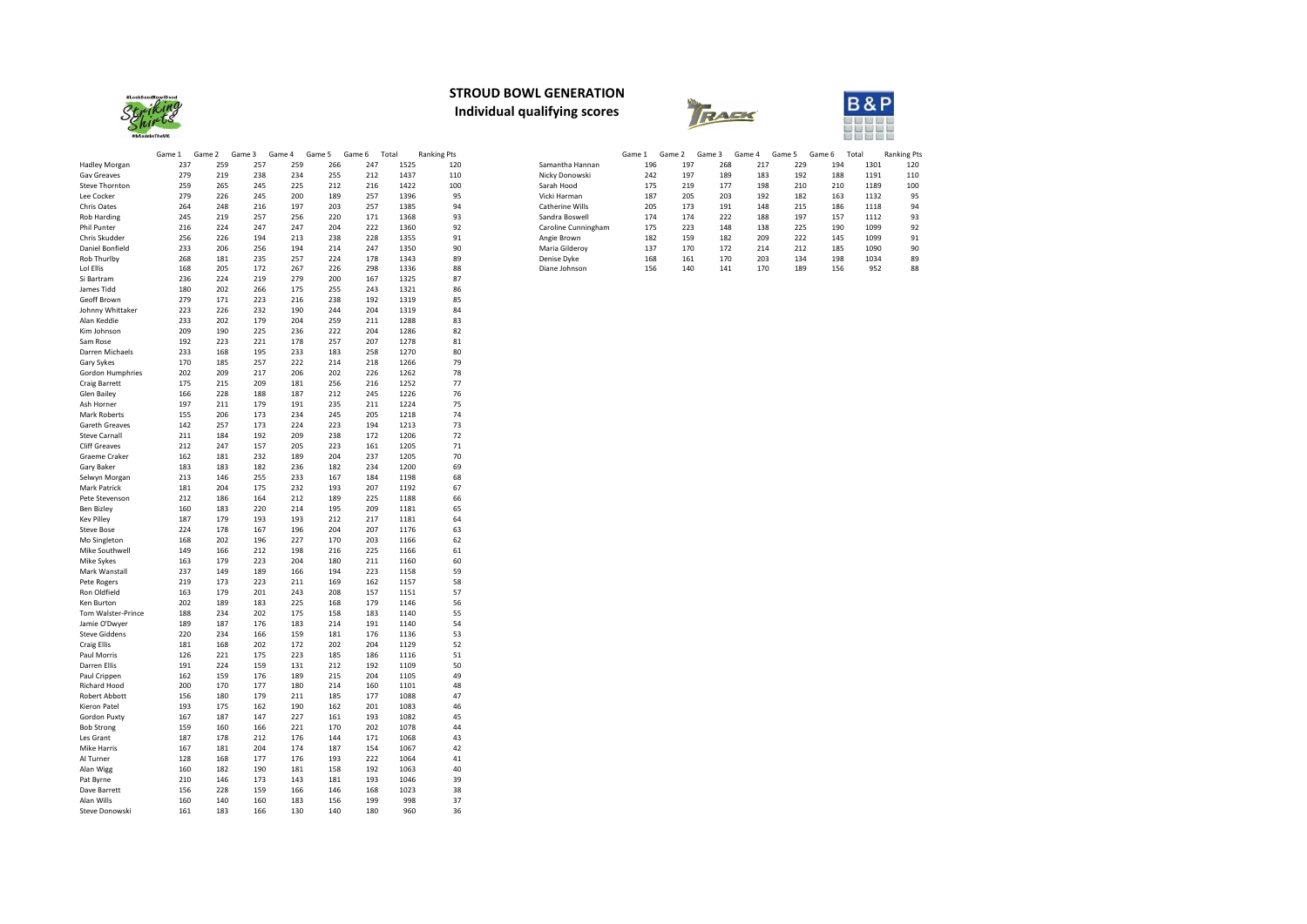| 1301<br>120<br>217<br>229<br>194 |
|----------------------------------|
|                                  |
| 183<br>192<br>1191<br>110<br>188 |
| 198<br>1189<br>100<br>210<br>210 |
| 192<br>182<br>95<br>163<br>1132  |
| 148<br>186<br>94<br>215<br>1118  |
| 188<br>197<br>93<br>157<br>1112  |
| 138<br>225<br>1099<br>92<br>190  |
| 209<br>222<br>1099<br>91<br>145  |
| 214<br>1090<br>90<br>212<br>185  |
| 203<br>1034<br>134<br>198<br>89  |
| 952<br>189<br>170<br>156<br>88   |
|                                  |





|                                   | Game 1     | Game 2     | Game 3     | Game 4     | Game 5     | Game 6     | Total        | <b>Ranking Pts</b> |
|-----------------------------------|------------|------------|------------|------------|------------|------------|--------------|--------------------|
| Hadley Morgan                     | 237        | 259        | 257        | 259        | 266        | 247        | 1525         | 120                |
| <b>Gav Greaves</b>                | 279        | 219        | 238        | 234        | 255        | 212        | 1437         | 110                |
| <b>Steve Thornton</b>             | 259        | 265        | 245        | 225        | 212        | 216        | 1422         | 100                |
| Lee Cocker                        | 279        | 226        | 245        | 200        | 189        | 257        | 1396         | 95                 |
| <b>Chris Oates</b>                | 264        | 248        | 216        | 197        | 203        | 257        | 1385         | 94                 |
| <b>Rob Harding</b>                | 245        | 219        | 257        | 256        | 220        | 171        | 1368         | 93                 |
| Phil Punter                       | 216        | 224        | 247        | 247        | 204        | 222        | 1360         | 92                 |
| Chris Skudder                     | 256        | 226        | 194        | 213        | 238        | 228        | 1355         | 91                 |
| Daniel Bonfield                   | 233        | 206        | 256        | 194        | 214        | 247        | 1350         | 90                 |
| Rob Thurlby                       | 268        | 181        | 235        | 257        | 224        | 178        | 1343         | 89                 |
| Lol Ellis                         | 168        | 205        | 172        | 267        | 226        | 298        | 1336         | 88                 |
| Si Bartram                        | 236        | 224        | 219        | 279        | 200        | 167        | 1325         | 87                 |
| James Tidd                        | 180        | 202        | 266        | 175        | 255        | 243        | 1321         | 86                 |
| Geoff Brown                       | 279        | 171        | 223        | 216        | 238        | 192        | 1319         | 85                 |
| Johnny Whittaker                  | 223        | 226        | 232        | 190        | 244        | 204        | 1319         | 84                 |
| Alan Keddie                       | 233        | 202        | 179        | 204        | 259        | 211        | 1288         | 83                 |
| Kim Johnson                       | 209        | 190        | 225        | 236        | 222        | 204        | 1286         | 82                 |
| Sam Rose                          | 192        | 223        | 221        | 178        | 257        | 207        | 1278         | 81                 |
| Darren Michaels                   | 233        | 168        | 195        | 233        | 183        | 258        | 1270         | 80                 |
| Gary Sykes                        | 170        | 185        | 257        | 222        | 214        | 218        | 1266         | 79                 |
| Gordon Humphries<br>Craig Barrett | 202<br>175 | 209<br>215 | 217<br>209 | 206<br>181 | 202<br>256 | 226<br>216 | 1262<br>1252 | 78<br>77           |
| Glen Bailey                       | 166        | 228        | 188        | 187        | 212        | 245        | 1226         | 76                 |
| Ash Horner                        | 197        | 211        | 179        | 191        | 235        | 211        | 1224         | 75                 |
| <b>Mark Roberts</b>               | 155        | 206        | 173        | 234        | 245        | 205        | 1218         | 74                 |
| <b>Gareth Greaves</b>             | 142        | 257        | 173        | 224        | 223        | 194        | 1213         | 73                 |
| <b>Steve Carnall</b>              | 211        | 184        | 192        | 209        | 238        | 172        | 1206         | 72                 |
| <b>Cliff Greaves</b>              | 212        | 247        | 157        | 205        | 223        | 161        | 1205         | 71                 |
| <b>Graeme Craker</b>              | 162        | 181        | 232        | 189        | 204        | 237        | 1205         | 70                 |
| Gary Baker                        | 183        | 183        | 182        | 236        | 182        | 234        | 1200         | 69                 |
| Selwyn Morgan                     | 213        | 146        | 255        | 233        | 167        | 184        | 1198         | 68                 |
| Mark Patrick                      | 181        | 204        | 175        | 232        | 193        | 207        | 1192         | 67                 |
| Pete Stevenson                    | 212        | 186        | 164        | 212        | 189        | 225        | 1188         | 66                 |
| Ben Bizley                        | 160        | 183        | 220        | 214        | 195        | 209        | 1181         | 65                 |
| <b>Kev Pilley</b>                 | 187        | 179        | 193        | 193        | 212        | 217        | 1181         | 64                 |
| <b>Steve Bose</b>                 | 224        | 178        | 167        | 196        | 204        | 207        | 1176         | 63                 |
| Mo Singleton                      | 168        | 202        | 196        | 227        | 170        | 203        | 1166         | 62                 |
| Mike Southwell                    | 149        | 166        | 212        | 198        | 216        | 225        | 1166         | 61                 |
| Mike Sykes                        | 163        | 179        | 223        | 204        | 180        | 211        | 1160         | 60                 |
| Mark Wanstall                     | 237        | 149        | 189        | 166        | 194        | 223        | 1158         | 59                 |
| Pete Rogers                       | 219        | 173        | 223        | 211        | 169        | 162        | 1157         | 58                 |
| Ron Oldfield                      | 163        | 179        | 201        | 243        | 208        | 157        | 1151         | 57                 |
| Ken Burton                        | 202        | 189        | 183        | 225        | 168        | 179        | 1146         | 56                 |
| Tom Walster-Prince                | 188        | 234        | 202        | 175        | 158        | 183        | 1140         | 55                 |
| Jamie O'Dwyer                     | 189        | 187        | 176        | 183        | 214        | 191        | 1140         | 54                 |
| <b>Steve Giddens</b>              | 220        | 234        | 166        | 159        | 181        | 176        | 1136         | 53                 |
| <b>Craig Ellis</b>                | 181        | 168        | 202        | 172        | 202        | 204        | 1129         | 52                 |
| Paul Morris                       | 126        | 221        | 175        | 223        | 185        | 186        | 1116         | 51                 |
| Darren Ellis                      | 191        | 224        | 159        | 131        | 212        | 192        | 1109         | 50                 |
| Paul Crippen                      | 162        | 159        | 176        | 189        | 215        | 204        | 1105         | 49                 |
| Richard Hood                      | 200        | 170        | 177        | 180        | 214        | 160        | 1101         | 48<br>47           |
| Robert Abbott<br>Kieron Patel     | 156<br>193 | 180<br>175 | 179<br>162 | 211<br>190 | 185<br>162 | 177<br>201 | 1088<br>1083 | 46                 |
| <b>Gordon Puxty</b>               | 167        | 187        | 147        | 227        | 161        | 193        | 1082         | 45                 |
| <b>Bob Strong</b>                 | 159        | 160        | 166        | 221        | 170        | 202        | 1078         | 44                 |
| Les Grant                         | 187        | 178        | 212        | 176        | 144        | 171        | 1068         | 43                 |
| Mike Harris                       | 167        | 181        | 204        | 174        | 187        | 154        | 1067         | 42                 |
| Al Turner                         | 128        | 168        | 177        | 176        | 193        | 222        | 1064         | 41                 |
| Alan Wigg                         | 160        | 182        | 190        | 181        | 158        | 192        | 1063         | 40                 |
| Pat Byrne                         | 210        | 146        | 173        | 143        | 181        | 193        | 1046         | 39                 |
| Dave Barrett                      | 156        | 228        | 159        | 166        | 146        | 168        | 1023         | 38                 |
| Alan Wills                        | 160        | 140        | 160        | 183        | 156        | 199        | 998          | 37                 |
| Steve Donowski                    | 161        | 183        | 166        | 130        | 140        | 180        | 960          | 36                 |

## **STROUD BOWL GENERATION Individual qualifying scores**

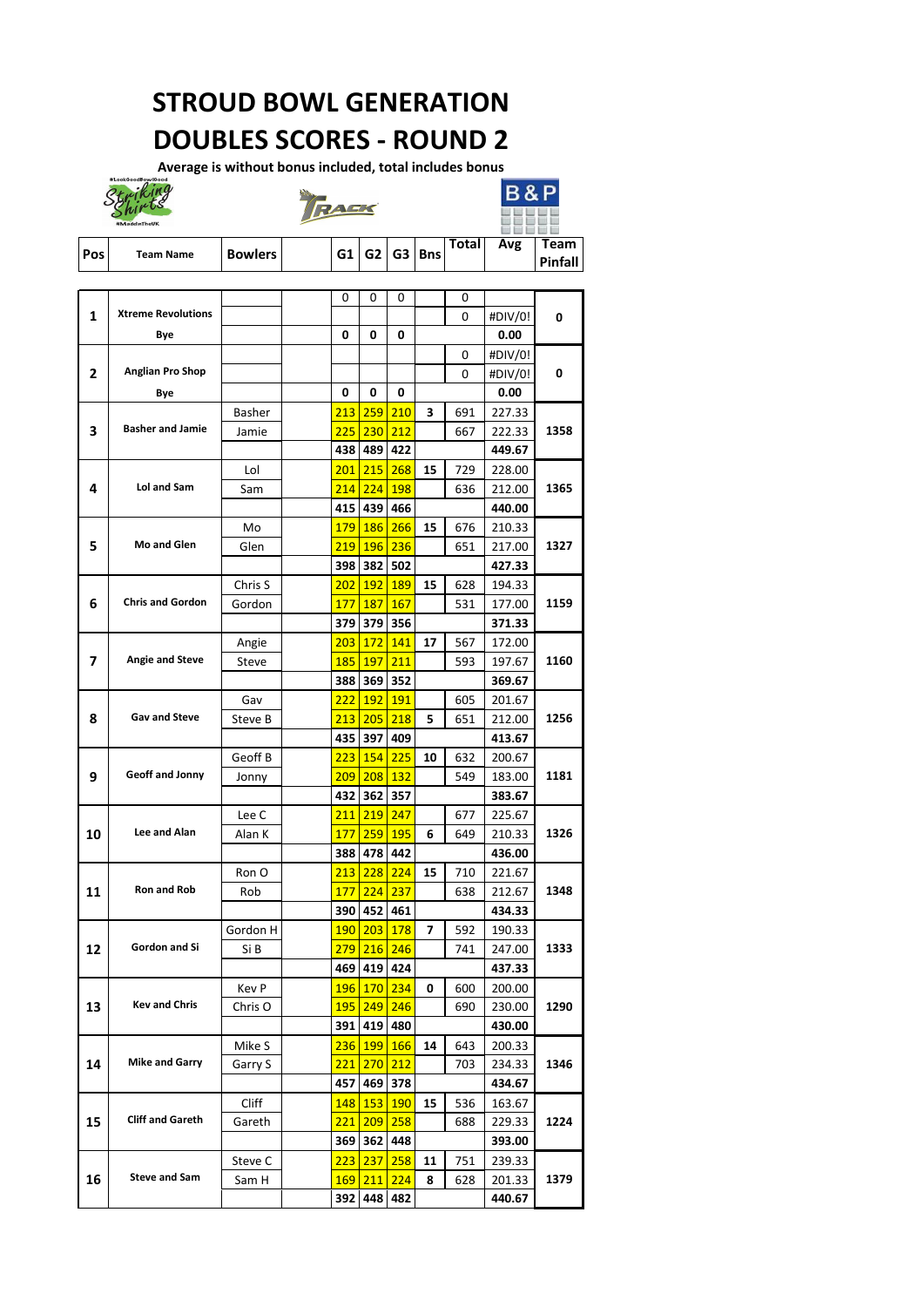|                         |                           |               | $\overline{0}$ | $\overline{0}$ | $\overline{0}$   |                         | $\overline{0}$ |         |                  |
|-------------------------|---------------------------|---------------|----------------|----------------|------------------|-------------------------|----------------|---------|------------------|
| 1                       | <b>Xtreme Revolutions</b> |               |                |                |                  |                         | $\overline{0}$ | #DIV/0! | $\mathbf 0$      |
|                         | <b>Bye</b>                |               | $\mathbf 0$    | 0              | 0                |                         |                | 0.00    |                  |
|                         |                           |               |                |                |                  |                         | $\overline{0}$ | #DIV/0! |                  |
| $\overline{2}$          | <b>Anglian Pro Shop</b>   |               |                |                |                  |                         | $\overline{0}$ | #DIV/0! | $\boldsymbol{0}$ |
|                         | <b>Bye</b>                |               | $\mathbf 0$    | 0              | $\boldsymbol{0}$ |                         |                | 0.00    |                  |
|                         |                           | <b>Basher</b> | 213            | 259            | 210              | $\overline{\mathbf{3}}$ | 691            | 227.33  |                  |
| 3                       | <b>Basher and Jamie</b>   | Jamie         | 225            | <b>230</b>     | 212              |                         | 667            | 222.33  | 1358             |
|                         |                           |               | 438            | 489            | 422              |                         |                | 449.67  |                  |
|                         |                           | Lol           | 201            | 215            | 268              | 15                      | 729            | 228.00  |                  |
| 4                       | <b>Lol and Sam</b>        | Sam           | 214            | 224            | <b>198</b>       |                         | 636            | 212.00  | 1365             |
|                         |                           |               | 415            | 439            | 466              |                         |                | 440.00  |                  |
|                         |                           | Mo            | <b>179</b>     | <b>186</b>     | 266              | 15                      | 676            | 210.33  |                  |
| 5                       | <b>Mo and Glen</b>        | Glen          | 219            | <b>196</b>     | <b>236</b>       |                         | 651            | 217.00  | 1327             |
|                         |                           |               | 398            | 382            | 502              |                         |                | 427.33  |                  |
|                         |                           | Chris S       | 202            | <u>192</u>     | <b>189</b>       | 15                      | 628            | 194.33  |                  |
|                         | <b>Chris and Gordon</b>   |               |                |                |                  |                         |                |         | 1159             |
| 6                       |                           | Gordon        | <b>177</b>     | <b>187</b>     | <b>167</b>       |                         | 531            | 177.00  |                  |
|                         |                           |               | 379            | 379            | 356              |                         |                | 371.33  |                  |
|                         |                           | Angie         | 203            | <u>172</u>     | 141              | 17                      | 567            | 172.00  |                  |
| $\overline{\mathbf{z}}$ | <b>Angie and Steve</b>    | <b>Steve</b>  | <b>185</b>     | <b>197</b>     | 211              |                         | 593            | 197.67  | 1160             |
|                         |                           |               | 388            | 369            | 352              |                         |                | 369.67  |                  |
|                         |                           | Gav           | 222            | <b>192</b>     | <b>191</b>       |                         | 605            | 201.67  |                  |
| 8                       | <b>Gav and Steve</b>      | Steve B       | 213            | 205            | 218              | 5                       | 651            | 212.00  | 1256             |
|                         |                           |               | 435            | 397            | 409              |                         |                | 413.67  |                  |
|                         |                           | Geoff B       | 223            | <b>154</b>     | 225              | 10                      | 632            | 200.67  |                  |
| 9                       | <b>Geoff and Jonny</b>    | Jonny         | 209            | 208            | <b>132</b>       |                         | 549            | 183.00  | 1181             |
|                         |                           |               | 432            | 362            | 357              |                         |                | 383.67  |                  |
|                         |                           | Lee C         | 211            | 219            | 247              |                         | 677            | 225.67  |                  |
| 10                      | Lee and Alan              | Alan K        | <b>177</b>     | 259            | <b>195</b>       | 6                       | 649            | 210.33  | 1326             |
|                         |                           |               | 388            | 478            | 442              |                         |                | 436.00  |                  |
|                         |                           | Ron O         | 213            | 228            | 224              | 15                      | 710            | 221.67  |                  |
| 11                      | <b>Ron and Rob</b>        | Rob           | <b>177</b>     | 224            | 237              |                         | 638            | 212.67  | 1348             |
|                         |                           |               | 390            | 452            | 461              |                         |                | 434.33  |                  |
|                         |                           | Gordon H      | <b>190</b>     | 203            | <b>178</b>       | $\overline{\mathbf{z}}$ | 592            | 190.33  |                  |
| 12                      | <b>Gordon and Si</b>      | Si B          | 279            | 216            | 246              |                         | 741            | 247.00  | 1333             |
|                         |                           |               | 469            | 419            | 424              |                         |                | 437.33  |                  |
|                         |                           |               |                |                |                  |                         |                |         |                  |
|                         | <b>Kev and Chris</b>      | <b>Kev P</b>  | <b>196</b>     | <b>170</b>     | 234              | $\mathbf 0$             | 600            | 200.00  |                  |
| 13                      |                           | Chris O       | <b>195</b>     | 249            | 246              |                         | 690            | 230.00  | 1290             |
|                         |                           |               | 391            |                | 419 480          |                         |                | 430.00  |                  |
|                         |                           | Mike S        | 236            | <b>199</b>     | <b>166</b>       | 14                      | 643            | 200.33  |                  |
| 14                      | <b>Mike and Garry</b>     | Garry S       | <u>221</u>     | 270            | 212              |                         | 703            | 234.33  | 1346             |
|                         |                           |               | 457            | 469            | 378              |                         |                | 434.67  |                  |
|                         |                           | <b>Cliff</b>  | <b>148</b>     | <b>153</b>     | <b>190</b>       | 15                      | 536            | 163.67  |                  |
| 15                      | <b>Cliff and Gareth</b>   | Gareth        | <u>221</u>     | 209            | 258              |                         | 688            | 229.33  | 1224             |
|                         |                           |               | 369            | 362            | 448              |                         |                | 393.00  |                  |
|                         |                           | Steve C       | 223            | 237            | 258              | 11                      | 751            | 239.33  |                  |
| 16                      | <b>Steve and Sam</b>      | Sam H         | <b>169</b>     | 211            | 224              | 8                       | 628            | 201.33  | 1379             |
|                         |                           |               | 392            | 448            | 482              |                         |                | 440.67  |                  |

|            |                  |                |    |  |                     | $\mathsf{Total}_{\perp}$ | Avg | <b>Team</b>    |
|------------|------------------|----------------|----|--|---------------------|--------------------------|-----|----------------|
| <b>Pos</b> | <b>Team Name</b> | <b>Bowlers</b> | GI |  | $\sqrt{G2 G3 B}$ ns |                          |     | <b>Pinfall</b> |

# **STROUD BOWL GENERATION DOUBLES SCORES - ROUND 2**

Average is without bonus included, total includes bonus





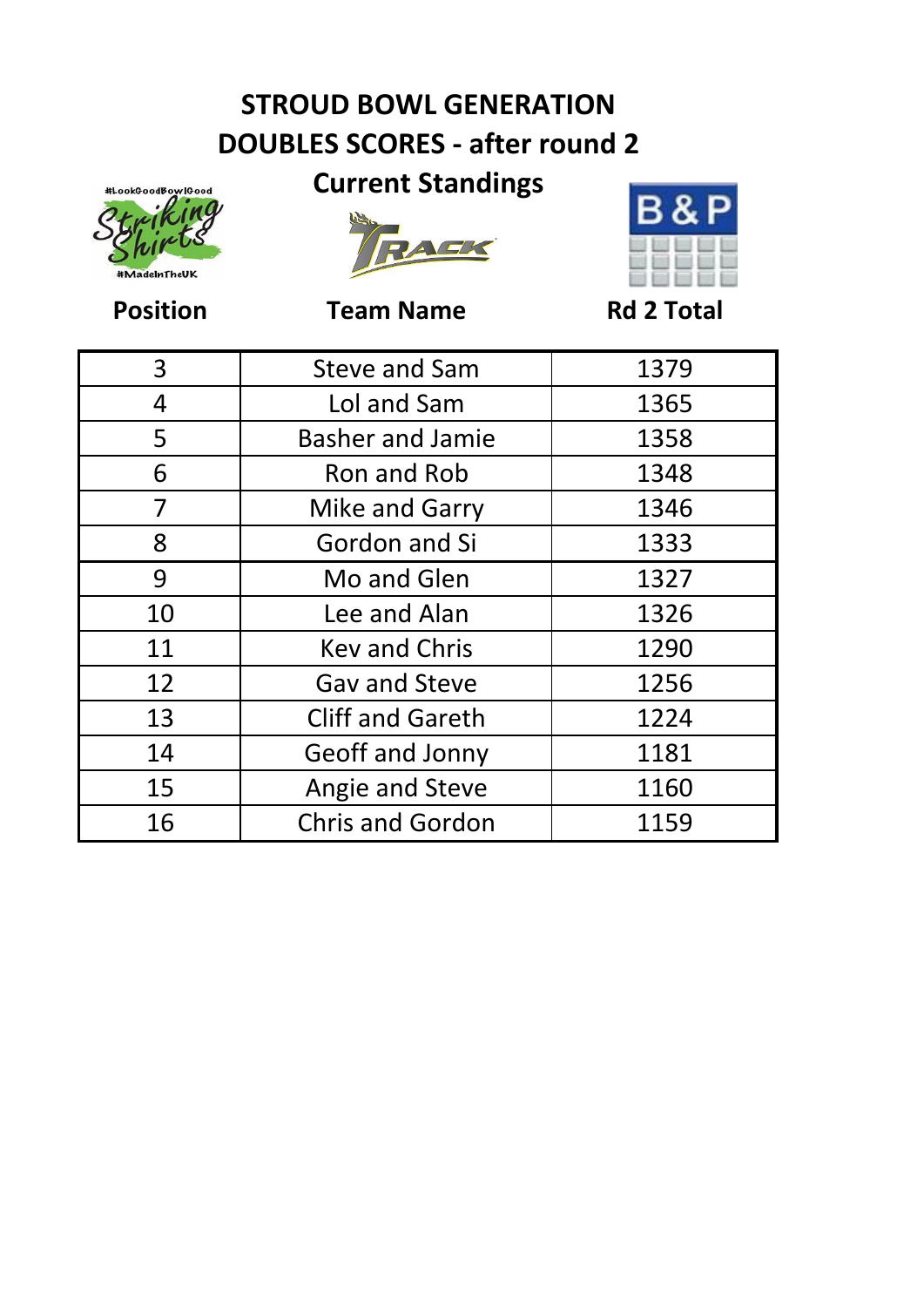### **STROUD BOWL GENERATION DOUBLES SCORES - after round 2**



### **Current Standings**





**Position Team Name Rd 2 Total** 

| 3  | <b>Steve and Sam</b>    | 1379 |
|----|-------------------------|------|
| 4  | Lol and Sam             | 1365 |
| 5  | <b>Basher and Jamie</b> | 1358 |
| 6  | Ron and Rob             | 1348 |
| 7  | <b>Mike and Garry</b>   | 1346 |
| 8  | Gordon and Si           | 1333 |
| 9  | Mo and Glen             | 1327 |
| 10 | Lee and Alan            | 1326 |
| 11 | <b>Key and Chris</b>    | 1290 |
| 12 | <b>Gav and Steve</b>    | 1256 |
| 13 | <b>Cliff and Gareth</b> | 1224 |
| 14 | Geoff and Jonny         | 1181 |
| 15 | Angie and Steve         | 1160 |
| 16 | <b>Chris and Gordon</b> | 1159 |